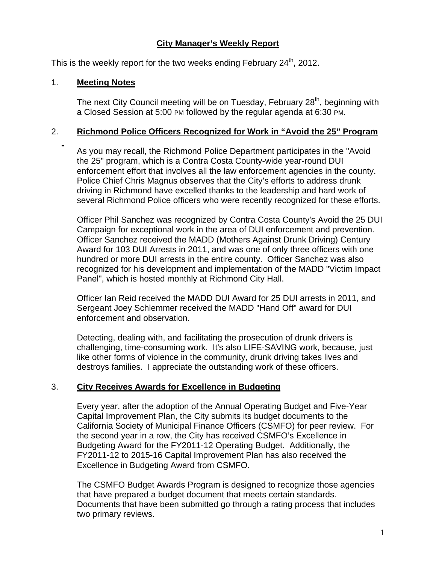# **City Manager's Weekly Report**

This is the weekly report for the two weeks ending February  $24<sup>th</sup>$ , 2012.

## 1. **Meeting Notes**

The next City Council meeting will be on Tuesday, February 28<sup>th</sup>, beginning with a Closed Session at 5:00 PM followed by the regular agenda at 6:30 PM.

## 2. **Richmond Police Officers Recognized for Work in "Avoid the 25" Program**

As you may recall, the Richmond Police Department participates in the "Avoid the 25" program, which is a Contra Costa County-wide year-round DUI enforcement effort that involves all the law enforcement agencies in the county. Police Chief Chris Magnus observes that the City's efforts to address drunk driving in Richmond have excelled thanks to the leadership and hard work of several Richmond Police officers who were recently recognized for these efforts.

Officer Phil Sanchez was recognized by Contra Costa County's Avoid the 25 DUI Campaign for exceptional work in the area of DUI enforcement and prevention. Officer Sanchez received the MADD (Mothers Against Drunk Driving) Century Award for 103 DUI Arrests in 2011, and was one of only three officers with one hundred or more DUI arrests in the entire county. Officer Sanchez was also recognized for his development and implementation of the MADD "Victim Impact Panel", which is hosted monthly at Richmond City Hall.

Officer Ian Reid received the MADD DUI Award for 25 DUI arrests in 2011, and Sergeant Joey Schlemmer received the MADD "Hand Off" award for DUI enforcement and observation.

Detecting, dealing with, and facilitating the prosecution of drunk drivers is challenging, time-consuming work. It's also LIFE-SAVING work, because, just like other forms of violence in the community, drunk driving takes lives and destroys families. I appreciate the outstanding work of these officers.

# 3. **City Receives Awards for Excellence in Budgeting**

Every year, after the adoption of the Annual Operating Budget and Five-Year Capital Improvement Plan, the City submits its budget documents to the California Society of Municipal Finance Officers (CSMFO) for peer review. For the second year in a row, the City has received CSMFO's Excellence in Budgeting Award for the FY2011-12 Operating Budget. Additionally, the FY2011-12 to 2015-16 Capital Improvement Plan has also received the Excellence in Budgeting Award from CSMFO.

The CSMFO Budget Awards Program is designed to recognize those agencies that have prepared a budget document that meets certain standards. Documents that have been submitted go through a rating process that includes two primary reviews.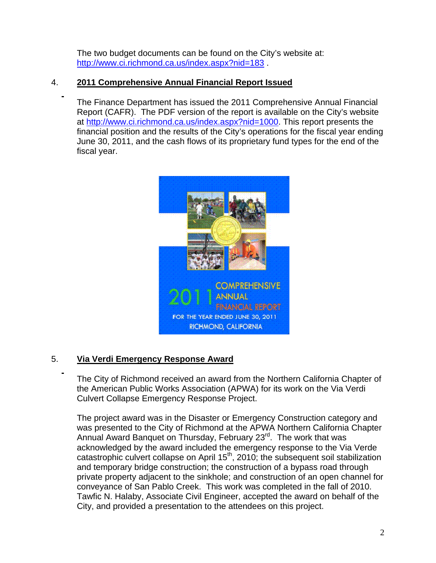The two budget documents can be found on the City's website at: http://www.ci.richmond.ca.us/index.aspx?nid=183

# 4. **2011 Comprehensive Annual Financial Report Issued**

The Finance Department has issued the 2011 Comprehensive Annual Financial Report (CAFR). The PDF version of the report is available on the City's website at http://www.ci.richmond.ca.us/index.aspx?nid=1000. This report presents the financial position and the results of the City's operations for the fiscal year ending June 30, 2011, and the cash flows of its proprietary fund types for the end of the fiscal year.



# 5. **Via Verdi Emergency Response Award**

The City of Richmond received an award from the Northern California Chapter of the American Public Works Association (APWA) for its work on the Via Verdi Culvert Collapse Emergency Response Project.

The project award was in the Disaster or Emergency Construction category and was presented to the City of Richmond at the APWA Northern California Chapter Annual Award Banquet on Thursday, February 23<sup>rd</sup>. The work that was acknowledged by the award included the emergency response to the Via Verde catastrophic culvert collapse on April  $15<sup>th</sup>$ , 2010; the subsequent soil stabilization and temporary bridge construction; the construction of a bypass road through private property adjacent to the sinkhole; and construction of an open channel for conveyance of San Pablo Creek. This work was completed in the fall of 2010. Tawfic N. Halaby, Associate Civil Engineer, accepted the award on behalf of the City, and provided a presentation to the attendees on this project.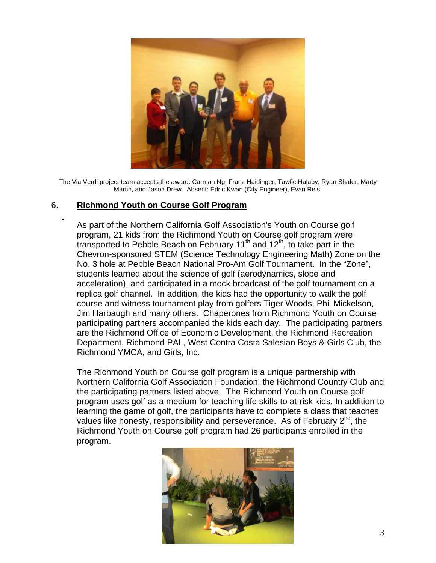

The Via Verdi project team accepts the award: Carman Ng, Franz Haidinger, Tawfic Halaby, Ryan Shafer, Marty Martin, and Jason Drew. Absent: Edric Kwan (City Engineer), Evan Reis.

## 6. **Richmond Youth on Course Golf Program**

As part of the Northern California Golf Association's Youth on Course golf program, 21 kids from the Richmond Youth on Course golf program were transported to Pebble Beach on February 11<sup>th</sup> and 12<sup>th</sup>, to take part in the Chevron-sponsored STEM (Science Technology Engineering Math) Zone on the No. 3 hole at Pebble Beach National Pro-Am Golf Tournament. In the "Zone", students learned about the science of golf (aerodynamics, slope and acceleration), and participated in a mock broadcast of the golf tournament on a replica golf channel. In addition, the kids had the opportunity to walk the golf course and witness tournament play from golfers Tiger Woods, Phil Mickelson, Jim Harbaugh and many others. Chaperones from Richmond Youth on Course participating partners accompanied the kids each day. The participating partners are the Richmond Office of Economic Development, the Richmond Recreation Department, Richmond PAL, West Contra Costa Salesian Boys & Girls Club, the Richmond YMCA, and Girls, Inc.

The Richmond Youth on Course golf program is a unique partnership with Northern California Golf Association Foundation, the Richmond Country Club and the participating partners listed above. The Richmond Youth on Course golf program uses golf as a medium for teaching life skills to at-risk kids. In addition to learning the game of golf, the participants have to complete a class that teaches values like honesty, responsibility and perseverance. As of February  $2^{nd}$ , the Richmond Youth on Course golf program had 26 participants enrolled in the program.

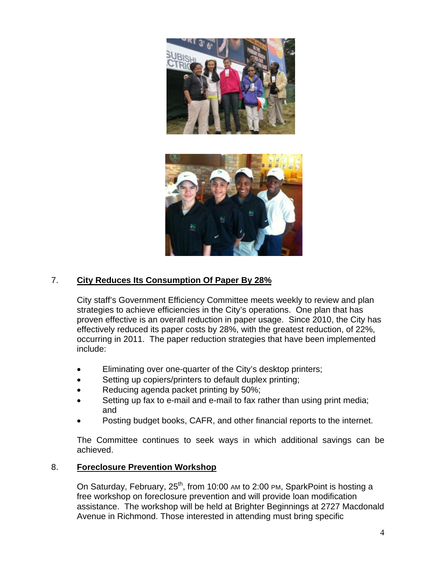

# 7. **City Reduces Its Consumption Of Paper By 28%**

City staff's Government Efficiency Committee meets weekly to review and plan strategies to achieve efficiencies in the City's operations. One plan that has proven effective is an overall reduction in paper usage. Since 2010, the City has effectively reduced its paper costs by 28%, with the greatest reduction, of 22%, occurring in 2011. The paper reduction strategies that have been implemented include:

- Eliminating over one-quarter of the City's desktop printers;
- Setting up copiers/printers to default duplex printing;
- Reducing agenda packet printing by 50%;
- Setting up fax to e-mail and e-mail to fax rather than using print media; and
- Posting budget books, CAFR, and other financial reports to the internet.

The Committee continues to seek ways in which additional savings can be achieved.

## 8. **Foreclosure Prevention Workshop**

On Saturday, February, 25<sup>th</sup>, from 10:00 AM to 2:00 PM, SparkPoint is hosting a free workshop on foreclosure prevention and will provide loan modification assistance. The workshop will be held at Brighter Beginnings at 2727 Macdonald Avenue in Richmond. Those interested in attending must bring specific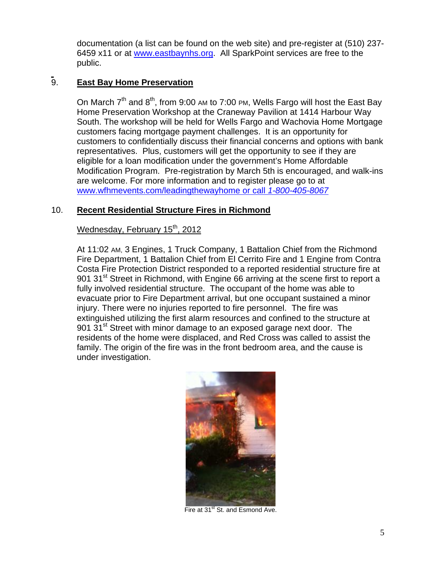documentation (a list can be found on the web site) and pre-register at (510) 237- 6459 x11 or at www.eastbaynhs.org. All SparkPoint services are free to the public.

# 9. **East Bay Home Preservation**

On March  $7<sup>th</sup>$  and  $8<sup>th</sup>$ , from 9:00 AM to 7:00 PM, Wells Fargo will host the East Bay Home Preservation Workshop at the Craneway Pavilion at 1414 Harbour Way South. The workshop will be held for Wells Fargo and Wachovia Home Mortgage customers facing mortgage payment challenges. It is an opportunity for customers to confidentially discuss their financial concerns and options with bank representatives. Plus, customers will get the opportunity to see if they are eligible for a loan modification under the government's Home Affordable Modification Program. Pre-registration by March 5th is encouraged, and walk-ins are welcome. For more information and to register please go to at www.wfhmevents.com/leadingthewayhome or call *1-800-405-8067*

# 10. **Recent Residential Structure Fires in Richmond**

# Wednesday, February 15<sup>th</sup>, 2012

At 11:02 AM, 3 Engines, 1 Truck Company, 1 Battalion Chief from the Richmond Fire Department, 1 Battalion Chief from El Cerrito Fire and 1 Engine from Contra Costa Fire Protection District responded to a reported residential structure fire at 901 31<sup>st</sup> Street in Richmond, with Engine 66 arriving at the scene first to report a fully involved residential structure. The occupant of the home was able to evacuate prior to Fire Department arrival, but one occupant sustained a minor injury. There were no injuries reported to fire personnel. The fire was extinguished utilizing the first alarm resources and confined to the structure at 901 31<sup>st</sup> Street with minor damage to an exposed garage next door. The residents of the home were displaced, and Red Cross was called to assist the family. The origin of the fire was in the front bedroom area, and the cause is under investigation.



Fire at 31<sup>st</sup> St. and Esmond Ave.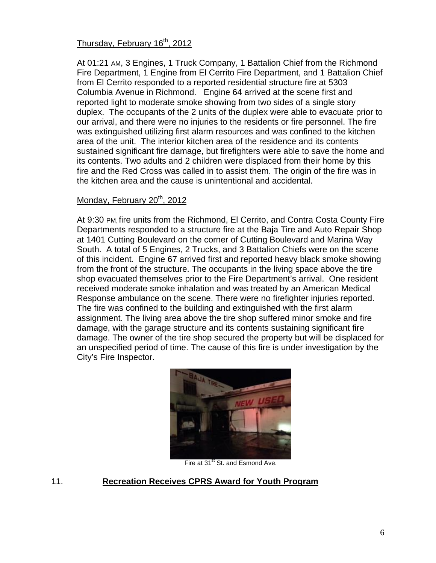# Thursday, February 16<sup>th</sup>, 2012

At 01:21 AM, 3 Engines, 1 Truck Company, 1 Battalion Chief from the Richmond Fire Department, 1 Engine from El Cerrito Fire Department, and 1 Battalion Chief from El Cerrito responded to a reported residential structure fire at 5303 Columbia Avenue in Richmond. Engine 64 arrived at the scene first and reported light to moderate smoke showing from two sides of a single story duplex. The occupants of the 2 units of the duplex were able to evacuate prior to our arrival, and there were no injuries to the residents or fire personnel. The fire was extinguished utilizing first alarm resources and was confined to the kitchen area of the unit. The interior kitchen area of the residence and its contents sustained significant fire damage, but firefighters were able to save the home and its contents. Two adults and 2 children were displaced from their home by this fire and the Red Cross was called in to assist them. The origin of the fire was in the kitchen area and the cause is unintentional and accidental.

#### Monday, February 20<sup>th</sup>, 2012

At 9:30 PM, fire units from the Richmond, El Cerrito, and Contra Costa County Fire Departments responded to a structure fire at the Baja Tire and Auto Repair Shop at 1401 Cutting Boulevard on the corner of Cutting Boulevard and Marina Way South. A total of 5 Engines, 2 Trucks, and 3 Battalion Chiefs were on the scene of this incident. Engine 67 arrived first and reported heavy black smoke showing from the front of the structure. The occupants in the living space above the tire shop evacuated themselves prior to the Fire Department's arrival. One resident received moderate smoke inhalation and was treated by an American Medical Response ambulance on the scene. There were no firefighter injuries reported. The fire was confined to the building and extinguished with the first alarm assignment. The living area above the tire shop suffered minor smoke and fire damage, with the garage structure and its contents sustaining significant fire damage. The owner of the tire shop secured the property but will be displaced for an unspecified period of time. The cause of this fire is under investigation by the City's Fire Inspector.



Fire at 31<sup>st</sup> St. and Esmond Ave.

## 11. **Recreation Receives CPRS Award for Youth Program**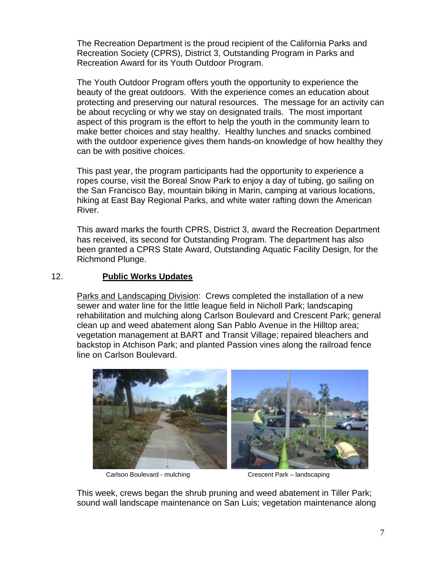The Recreation Department is the proud recipient of the California Parks and Recreation Society (CPRS), District 3, Outstanding Program in Parks and Recreation Award for its Youth Outdoor Program.

The Youth Outdoor Program offers youth the opportunity to experience the beauty of the great outdoors. With the experience comes an education about protecting and preserving our natural resources. The message for an activity can be about recycling or why we stay on designated trails. The most important aspect of this program is the effort to help the youth in the community learn to make better choices and stay healthy. Healthy lunches and snacks combined with the outdoor experience gives them hands-on knowledge of how healthy they can be with positive choices.

This past year, the program participants had the opportunity to experience a ropes course, visit the Boreal Snow Park to enjoy a day of tubing, go sailing on the San Francisco Bay, mountain biking in Marin, camping at various locations, hiking at East Bay Regional Parks, and white water rafting down the American River.

This award marks the fourth CPRS, District 3, award the Recreation Department has received, its second for Outstanding Program. The department has also been granted a CPRS State Award, Outstanding Aquatic Facility Design, for the Richmond Plunge.

## 12. **Public Works Updates**

Parks and Landscaping Division: Crews completed the installation of a new sewer and water line for the little league field in Nicholl Park; landscaping rehabilitation and mulching along Carlson Boulevard and Crescent Park; general clean up and weed abatement along San Pablo Avenue in the Hilltop area; vegetation management at BART and Transit Village; repaired bleachers and backstop in Atchison Park; and planted Passion vines along the railroad fence line on Carlson Boulevard.



This week, crews began the shrub pruning and weed abatement in Tiller Park; sound wall landscape maintenance on San Luis; vegetation maintenance along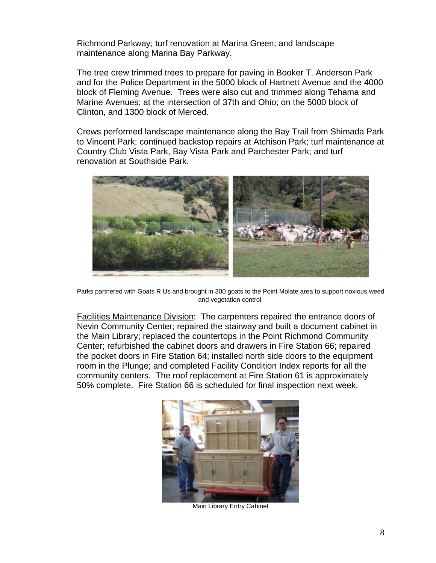Richmond Parkway; turf renovation at Marina Green; and landscape maintenance along Marina Bay Parkway.

The tree crew trimmed trees to prepare for paving in Booker T. Anderson Park and for the Police Department in the 5000 block of Hartnett Avenue and the 4000 block of Fleming Avenue. Trees were also cut and trimmed along Tehama and Marine Avenues; at the intersection of 37th and Ohio; on the 5000 block of Clinton, and 1300 block of Merced.

Crews performed landscape maintenance along the Bay Trail from Shimada Park to Vincent Park; continued backstop repairs at Atchison Park; turf maintenance at Country Club Vista Park, Bay Vista Park and Parchester Park; and turf renovation at Southside Park.



Parks partnered with Goats R Us and brought in 300 goats to the Point Molate area to support noxious weed and vegetation control.

Facilities Maintenance Division: The carpenters repaired the entrance doors of Nevin Community Center; repaired the stairway and built a document cabinet in the Main Library; replaced the countertops in the Point Richmond Community Center; refurbished the cabinet doors and drawers in Fire Station 66; repaired the pocket doors in Fire Station 64; installed north side doors to the equipment room in the Plunge; and completed Facility Condition Index reports for all the community centers. The roof replacement at Fire Station 61 is approximately 50% complete. Fire Station 66 is scheduled for final inspection next week.



Main Library Entry Cabinet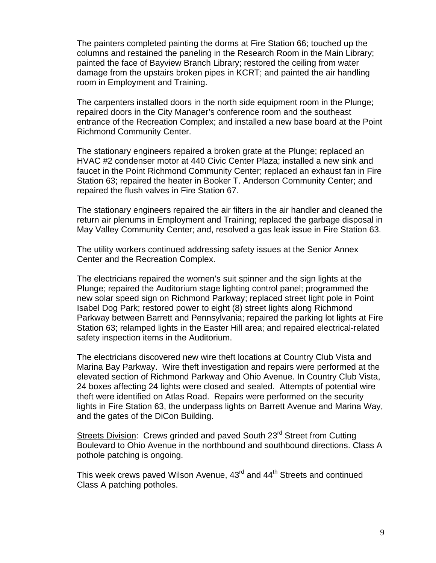The painters completed painting the dorms at Fire Station 66; touched up the columns and restained the paneling in the Research Room in the Main Library; painted the face of Bayview Branch Library; restored the ceiling from water damage from the upstairs broken pipes in KCRT; and painted the air handling room in Employment and Training.

The carpenters installed doors in the north side equipment room in the Plunge; repaired doors in the City Manager's conference room and the southeast entrance of the Recreation Complex; and installed a new base board at the Point Richmond Community Center.

The stationary engineers repaired a broken grate at the Plunge; replaced an HVAC #2 condenser motor at 440 Civic Center Plaza; installed a new sink and faucet in the Point Richmond Community Center; replaced an exhaust fan in Fire Station 63; repaired the heater in Booker T. Anderson Community Center; and repaired the flush valves in Fire Station 67.

The stationary engineers repaired the air filters in the air handler and cleaned the return air plenums in Employment and Training; replaced the garbage disposal in May Valley Community Center; and, resolved a gas leak issue in Fire Station 63.

The utility workers continued addressing safety issues at the Senior Annex Center and the Recreation Complex.

The electricians repaired the women's suit spinner and the sign lights at the Plunge; repaired the Auditorium stage lighting control panel; programmed the new solar speed sign on Richmond Parkway; replaced street light pole in Point Isabel Dog Park; restored power to eight (8) street lights along Richmond Parkway between Barrett and Pennsylvania; repaired the parking lot lights at Fire Station 63; relamped lights in the Easter Hill area; and repaired electrical-related safety inspection items in the Auditorium.

The electricians discovered new wire theft locations at Country Club Vista and Marina Bay Parkway. Wire theft investigation and repairs were performed at the elevated section of Richmond Parkway and Ohio Avenue. In Country Club Vista, 24 boxes affecting 24 lights were closed and sealed. Attempts of potential wire theft were identified on Atlas Road. Repairs were performed on the security lights in Fire Station 63, the underpass lights on Barrett Avenue and Marina Way, and the gates of the DiCon Building.

Streets Division: Crews grinded and paved South 23<sup>rd</sup> Street from Cutting Boulevard to Ohio Avenue in the northbound and southbound directions. Class A pothole patching is ongoing.

This week crews paved Wilson Avenue, 43<sup>rd</sup> and 44<sup>th</sup> Streets and continued Class A patching potholes.